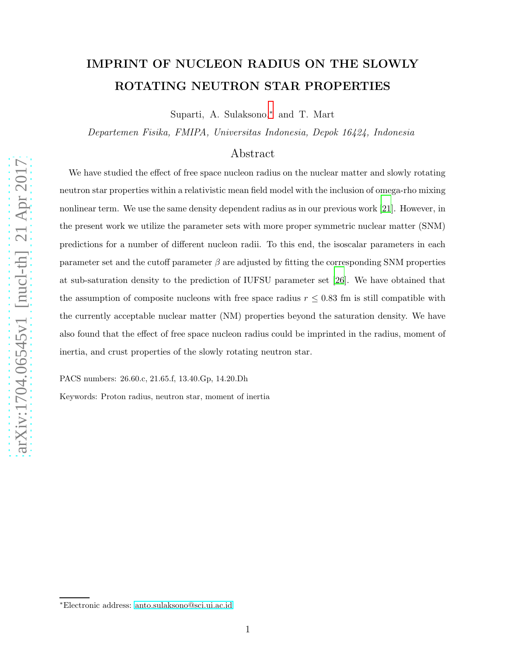# IMPRINT OF NUCLEON RADIUS ON THE SLOWLY ROTATING NEUTRON STAR PROPERTIES

Suparti, A. Sulaksono,[∗](#page-0-0) and T. Mart

Departemen Fisika, FMIPA, Universitas Indonesia, Depok 16424, Indonesia

# Abstract

We have studied the effect of free space nucleon radius on the nuclear matter and slowly rotating neutron star properties within a relativistic mean field model with the inclusion of omega-rho mixing nonlinear term. We use the same density dependent radius as in our previous work [\[21](#page-13-0)]. However, in the present work we utilize the parameter sets with more proper symmetric nuclear matter (SNM) predictions for a number of different nucleon radii. To this end, the isoscalar parameters in each parameter set and the cutoff parameter  $\beta$  are adjusted by fitting the corresponding SNM properties at sub-saturation density to the prediction of IUFSU parameter set [\[26\]](#page-13-1). We have obtained that the assumption of composite nucleons with free space radius  $r \leq 0.83$  fm is still compatible with the currently acceptable nuclear matter (NM) properties beyond the saturation density. We have also found that the effect of free space nucleon radius could be imprinted in the radius, moment of inertia, and crust properties of the slowly rotating neutron star.

PACS numbers: 26.60.c, 21.65.f, 13.40.Gp, 14.20.Dh

Keywords: Proton radius, neutron star, moment of inertia

<span id="page-0-0"></span><sup>∗</sup>Electronic address: [anto.sulaksono@sci.ui.ac.id](mailto:anto.sulaksono@sci.ui.ac.id)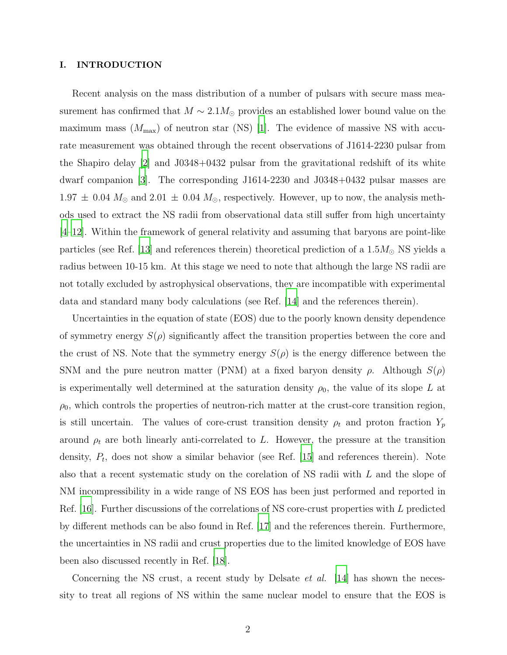## I. INTRODUCTION

Recent analysis on the mass distribution of a number of pulsars with secure mass measurement has confirmed that  $M \sim 2.1 M_\odot$  provides an established lower bound value on the maximum mass  $(M_{\text{max}})$  of neutron star (NS) [\[1](#page-12-0)]. The evidence of massive NS with accurate measurement was obtained through the recent observations of J1614-2230 pulsar from the Shapiro delay [\[2](#page-12-1)] and J0348+0432 pulsar from the gravitational redshift of its white dwarf companion [\[3](#page-12-2)]. The corresponding J1614-2230 and J0348+0432 pulsar masses are  $1.97 \pm 0.04$   $M_{\odot}$  and  $2.01 \pm 0.04$   $M_{\odot}$ , respectively. However, up to now, the analysis methods used to extract the NS radii from observational data still suffer from high uncertainty [\[4](#page-12-3)[–12\]](#page-12-4). Within the framework of general relativity and assuming that baryons are point-like particles (see Ref. [\[13](#page-12-5)] and references therein) theoretical prediction of a  $1.5M_{\odot}$  NS yields a radius between 10-15 km. At this stage we need to note that although the large NS radii are not totally excluded by astrophysical observations, they are incompatible with experimental data and standard many body calculations (see Ref. [\[14\]](#page-12-6) and the references therein).

Uncertainties in the equation of state (EOS) due to the poorly known density dependence of symmetry energy  $S(\rho)$  significantly affect the transition properties between the core and the crust of NS. Note that the symmetry energy  $S(\rho)$  is the energy difference between the SNM and the pure neutron matter (PNM) at a fixed baryon density  $\rho$ . Although  $S(\rho)$ is experimentally well determined at the saturation density  $\rho_0$ , the value of its slope L at  $\rho_0$ , which controls the properties of neutron-rich matter at the crust-core transition region, is still uncertain. The values of core-crust transition density  $\rho_t$  and proton fraction  $Y_p$ around  $\rho_t$  are both linearly anti-correlated to L. However, the pressure at the transition density,  $P_t$ , does not show a similar behavior (see Ref. [\[15\]](#page-12-7) and references therein). Note also that a recent systematic study on the corelation of NS radii with L and the slope of NM incompressibility in a wide range of NS EOS has been just performed and reported in Ref. [\[16\]](#page-13-2). Further discussions of the correlations of NS core-crust properties with L predicted by different methods can be also found in Ref. [\[17\]](#page-13-3) and the references therein. Furthermore, the uncertainties in NS radii and crust properties due to the limited knowledge of EOS have been also discussed recently in Ref. [\[18](#page-13-4)].

Concerning the NS crust, a recent study by Delsate *et al.* [\[14\]](#page-12-6) has shown the necessity to treat all regions of NS within the same nuclear model to ensure that the EOS is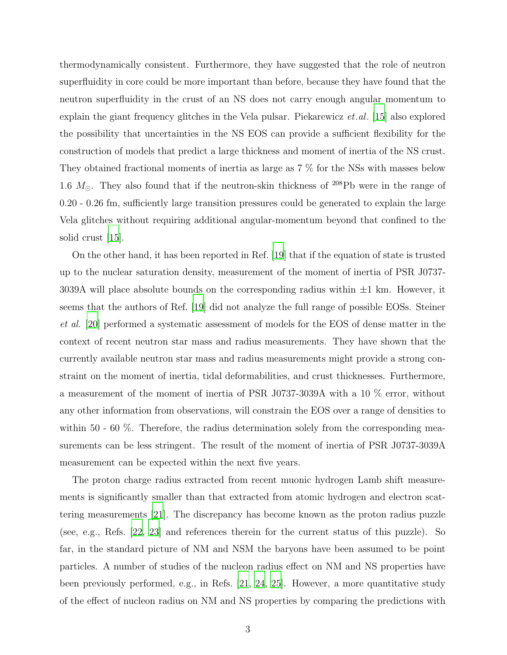thermodynamically consistent. Furthermore, they have suggested that the role of neutron superfluidity in core could be more important than before, because they have found that the neutron superfluidity in the crust of an NS does not carry enough angular momentum to explain the giant frequency glitches in the Vela pulsar. Piekarewicz  $et.al.$  [\[15\]](#page-12-7) also explored the possibility that uncertainties in the NS EOS can provide a sufficient flexibility for the construction of models that predict a large thickness and moment of inertia of the NS crust. They obtained fractional moments of inertia as large as 7 % for the NSs with masses below 1.6  $M_{\odot}$ . They also found that if the neutron-skin thickness of <sup>208</sup>Pb were in the range of 0.20 - 0.26 fm, sufficiently large transition pressures could be generated to explain the large Vela glitches without requiring additional angular-momentum beyond that confined to the solid crust [\[15\]](#page-12-7).

On the other hand, it has been reported in Ref. [\[19\]](#page-13-5) that if the equation of state is trusted up to the nuclear saturation density, measurement of the moment of inertia of PSR J0737- 3039A will place absolute bounds on the corresponding radius within  $\pm 1$  km. However, it seems that the authors of Ref. [\[19\]](#page-13-5) did not analyze the full range of possible EOSs. Steiner et al. [\[20](#page-13-6)] performed a systematic assessment of models for the EOS of dense matter in the context of recent neutron star mass and radius measurements. They have shown that the currently available neutron star mass and radius measurements might provide a strong constraint on the moment of inertia, tidal deformabilities, and crust thicknesses. Furthermore, a measurement of the moment of inertia of PSR J0737-3039A with a 10 % error, without any other information from observations, will constrain the EOS over a range of densities to within 50 - 60  $\%$ . Therefore, the radius determination solely from the corresponding measurements can be less stringent. The result of the moment of inertia of PSR J0737-3039A measurement can be expected within the next five years.

The proton charge radius extracted from recent muonic hydrogen Lamb shift measurements is significantly smaller than that extracted from atomic hydrogen and electron scattering measurements [\[21](#page-13-0)]. The discrepancy has become known as the proton radius puzzle (see, e.g., Refs. [\[22,](#page-13-7) [23\]](#page-13-8) and references therein for the current status of this puzzle). So far, in the standard picture of NM and NSM the baryons have been assumed to be point particles. A number of studies of the nucleon radius effect on NM and NS properties have been previously performed, e.g., in Refs. [\[21,](#page-13-0) [24](#page-13-9), [25](#page-13-10)]. However, a more quantitative study of the effect of nucleon radius on NM and NS properties by comparing the predictions with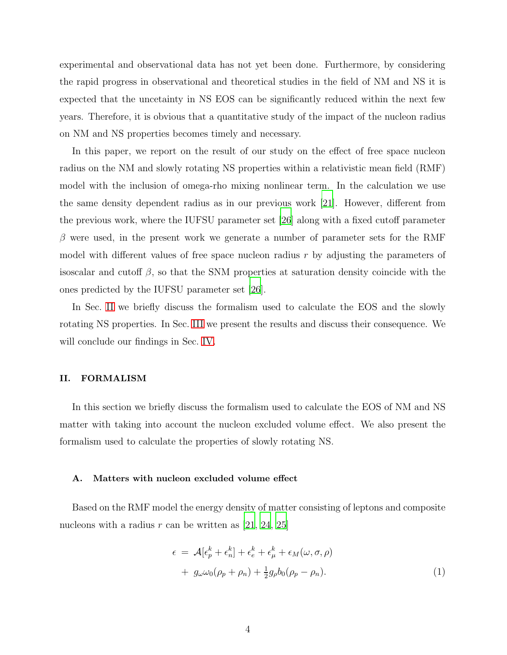experimental and observational data has not yet been done. Furthermore, by considering the rapid progress in observational and theoretical studies in the field of NM and NS it is expected that the uncetainty in NS EOS can be significantly reduced within the next few years. Therefore, it is obvious that a quantitative study of the impact of the nucleon radius on NM and NS properties becomes timely and necessary.

In this paper, we report on the result of our study on the effect of free space nucleon radius on the NM and slowly rotating NS properties within a relativistic mean field (RMF) model with the inclusion of omega-rho mixing nonlinear term. In the calculation we use the same density dependent radius as in our previous work [\[21\]](#page-13-0). However, different from the previous work, where the IUFSU parameter set [\[26\]](#page-13-1) along with a fixed cutoff parameter  $\beta$  were used, in the present work we generate a number of parameter sets for the RMF model with different values of free space nucleon radius  $r$  by adjusting the parameters of isoscalar and cutoff  $\beta$ , so that the SNM properties at saturation density coincide with the ones predicted by the IUFSU parameter set [\[26\]](#page-13-1).

In Sec. [II](#page-3-0) we briefly discuss the formalism used to calculate the EOS and the slowly rotating NS properties. In Sec. [III](#page-7-0) we present the results and discuss their consequence. We will conclude our findings in Sec. [IV.](#page-11-0)

## <span id="page-3-0"></span>II. FORMALISM

In this section we briefly discuss the formalism used to calculate the EOS of NM and NS matter with taking into account the nucleon excluded volume effect. We also present the formalism used to calculate the properties of slowly rotating NS.

## A. Matters with nucleon excluded volume effect

Based on the RMF model the energy density of matter consisting of leptons and composite nucleons with a radius r can be written as  $[21, 24, 25]$  $[21, 24, 25]$  $[21, 24, 25]$ 

<span id="page-3-1"></span>
$$
\epsilon = \mathcal{A}[\epsilon_p^k + \epsilon_n^k] + \epsilon_e^k + \epsilon_\mu^k + \epsilon_M(\omega, \sigma, \rho)
$$
  
+  $g_\omega \omega_0(\rho_p + \rho_n) + \frac{1}{2}g_\rho b_0(\rho_p - \rho_n).$  (1)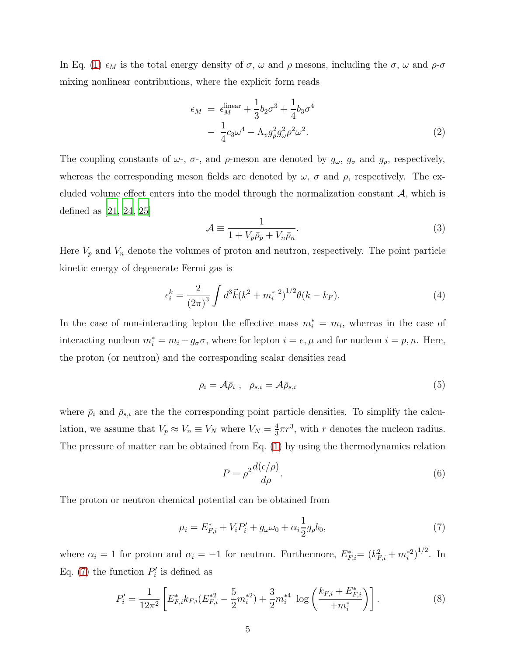In Eq. [\(1\)](#page-3-1)  $\epsilon_M$  is the total energy density of  $\sigma$ ,  $\omega$  and  $\rho$  mesons, including the  $\sigma$ ,  $\omega$  and  $\rho$ - $\sigma$ mixing nonlinear contributions, where the explicit form reads

$$
\epsilon_M = \epsilon_M^{\text{linear}} + \frac{1}{3}b_2\sigma^3 + \frac{1}{4}b_3\sigma^4
$$

$$
- \frac{1}{4}c_3\omega^4 - \Lambda_v g^2_\rho g^2_\omega \rho^2 \omega^2. \tag{2}
$$

The coupling constants of  $\omega$ -,  $\sigma$ -, and  $\rho$ -meson are denoted by  $g_{\omega}$ ,  $g_{\sigma}$  and  $g_{\rho}$ , respectively, whereas the corresponding meson fields are denoted by  $\omega$ ,  $\sigma$  and  $\rho$ , respectively. The excluded volume effect enters into the model through the normalization constant  $\mathcal{A}$ , which is defined as [\[21,](#page-13-0) [24,](#page-13-9) [25](#page-13-10)]

$$
\mathcal{A} \equiv \frac{1}{1 + V_p \bar{\rho}_p + V_n \bar{\rho}_n}.
$$
\n(3)

Here  $V_p$  and  $V_n$  denote the volumes of proton and neutron, respectively. The point particle kinetic energy of degenerate Fermi gas is

$$
\epsilon_i^k = \frac{2}{(2\pi)^3} \int d^3 \vec{k} (k^2 + m_i^*)^{1/2} \theta(k - k_F). \tag{4}
$$

In the case of non-interacting lepton the effective mass  $m_i^* = m_i$ , whereas in the case of interacting nucleon  $m_i^* = m_i - g_{\sigma}\sigma$ , where for lepton  $i = e, \mu$  and for nucleon  $i = p, n$ . Here, the proton (or neutron) and the corresponding scalar densities read

$$
\rho_i = \mathcal{A}\bar{\rho}_i \ , \ \ \rho_{s,i} = \mathcal{A}\bar{\rho}_{s,i} \tag{5}
$$

where  $\bar{\rho}_i$  and  $\bar{\rho}_{s,i}$  are the the corresponding point particle densities. To simplify the calculation, we assume that  $V_p \approx V_n \equiv V_N$  where  $V_N = \frac{4}{3}$  $\frac{4}{3}\pi r^3$ , with r denotes the nucleon radius. The pressure of matter can be obtained from Eq. [\(1\)](#page-3-1) by using the thermodynamics relation

$$
P = \rho^2 \frac{d(\epsilon/\rho)}{d\rho}.
$$
\n(6)

The proton or neutron chemical potential can be obtained from

<span id="page-4-0"></span>
$$
\mu_i = E_{F,i}^* + V_i P_i' + g_\omega \omega_0 + \alpha_i \frac{1}{2} g_\rho b_0,\tag{7}
$$

where  $\alpha_i = 1$  for proton and  $\alpha_i = -1$  for neutron. Furthermore,  $E_{F,i}^* = (k_{F,i}^2 + m_i^{*2})^{1/2}$ . In Eq. [\(7\)](#page-4-0) the function  $P'_i$  $e_i'$  is defined as

$$
P'_{i} = \frac{1}{12\pi^{2}} \left[ E_{F,i}^{*} k_{F,i} (E_{F,i}^{*2} - \frac{5}{2} m_{i}^{*2}) + \frac{3}{2} m_{i}^{*4} \log \left( \frac{k_{F,i} + E_{F,i}^{*}}{m_{i}^{*}} \right) \right].
$$
 (8)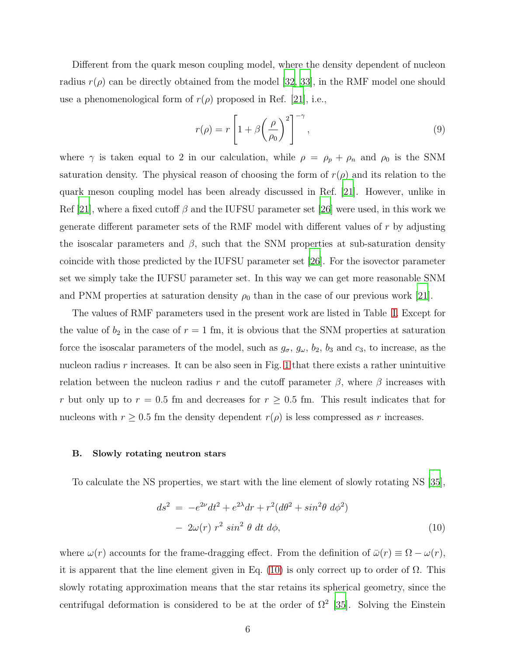Different from the quark meson coupling model, where the density dependent of nucleon radius  $r(\rho)$  can be directly obtained from the model [\[32,](#page-13-11) [33\]](#page-13-12), in the RMF model one should use a phenomenological form of  $r(\rho)$  proposed in Ref. [\[21](#page-13-0)], i.e.,

<span id="page-5-1"></span>
$$
r(\rho) = r \left[ 1 + \beta \left( \frac{\rho}{\rho_0} \right)^2 \right]^{-\gamma}, \qquad (9)
$$

where  $\gamma$  is taken equal to 2 in our calculation, while  $\rho = \rho_p + \rho_n$  and  $\rho_0$  is the SNM saturation density. The physical reason of choosing the form of  $r(\rho)$  and its relation to the quark meson coupling model has been already discussed in Ref. [\[21\]](#page-13-0). However, unlike in Ref [\[21\]](#page-13-0), where a fixed cutoff  $\beta$  and the IUFSU parameter set [\[26](#page-13-1)] were used, in this work we generate different parameter sets of the RMF model with different values of  $r$  by adjusting the isoscalar parameters and  $\beta$ , such that the SNM properties at sub-saturation density coincide with those predicted by the IUFSU parameter set [\[26\]](#page-13-1). For the isovector parameter set we simply take the IUFSU parameter set. In this way we can get more reasonable SNM and PNM properties at saturation density  $\rho_0$  than in the case of our previous work [\[21\]](#page-13-0).

The values of RMF parameters used in the present work are listed in Table [I.](#page-6-0) Except for the value of  $b_2$  in the case of  $r = 1$  fm, it is obvious that the SNM properties at saturation force the isoscalar parameters of the model, such as  $g_{\sigma}$ ,  $g_{\omega}$ ,  $b_2$ ,  $b_3$  and  $c_3$ , to increase, as the nucleon radius  $r$  increases. It can be also seen in Fig. [1](#page-14-0) that there exists a rather unintuitive relation between the nucleon radius r and the cutoff parameter  $\beta$ , where  $\beta$  increases with r but only up to  $r = 0.5$  fm and decreases for  $r \ge 0.5$  fm. This result indicates that for nucleons with  $r \geq 0.5$  fm the density dependent  $r(\rho)$  is less compressed as r increases.

#### B. Slowly rotating neutron stars

To calculate the NS properties, we start with the line element of slowly rotating NS [\[35\]](#page-13-13),

<span id="page-5-0"></span>
$$
ds2 = -e2ν dt2 + e2λ dr + r2 (dθ2 + sin2θ dφ2)
$$
  
- 2ω(r) r<sup>2</sup> sin<sup>2</sup> θ dt dφ, (10)

where  $\omega(r)$  accounts for the frame-dragging effect. From the definition of  $\bar{\omega}(r) \equiv \Omega - \omega(r)$ , it is apparent that the line element given in Eq. [\(10\)](#page-5-0) is only correct up to order of  $\Omega$ . This slowly rotating approximation means that the star retains its spherical geometry, since the centrifugal deformation is considered to be at the order of  $\Omega^2$  [\[35\]](#page-13-13). Solving the Einstein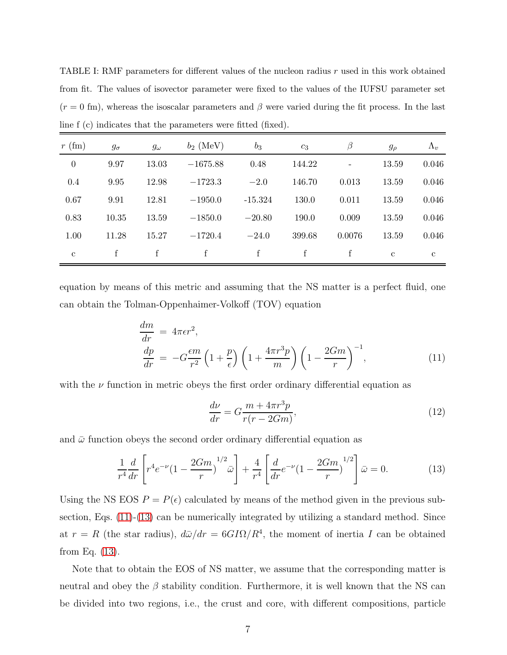<span id="page-6-0"></span>TABLE I: RMF parameters for different values of the nucleon radius  $r$  used in this work obtained from fit. The values of isovector parameter were fixed to the values of the IUFSU parameter set  $(r = 0$  fm), whereas the isoscalar parameters and  $\beta$  were varied during the fit process. In the last line f (c) indicates that the parameters were fitted (fixed).

| $r$ (fm)     | $g_{\sigma}$ | $g_\omega$ | $b_2$ (MeV) | $b_3$     | $c_3$  | $\beta$                  | $g_{\rho}$   | $\Lambda_v$  |
|--------------|--------------|------------|-------------|-----------|--------|--------------------------|--------------|--------------|
| $\theta$     | 9.97         | 13.03      | $-1675.88$  | 0.48      | 144.22 | $\overline{\phantom{a}}$ | 13.59        | 0.046        |
| 0.4          | 9.95         | 12.98      | $-1723.3$   | $-2.0$    | 146.70 | 0.013                    | 13.59        | 0.046        |
| 0.67         | 9.91         | 12.81      | $-1950.0$   | $-15.324$ | 130.0  | 0.011                    | 13.59        | 0.046        |
| 0.83         | 10.35        | 13.59      | $-1850.0$   | $-20.80$  | 190.0  | 0.009                    | 13.59        | 0.046        |
| 1.00         | 11.28        | 15.27      | $-1720.4$   | $-24.0$   | 399.68 | 0.0076                   | 13.59        | 0.046        |
| $\mathbf{c}$ | f            | f          | f           | f         | f      | f                        | $\mathbf{c}$ | $\mathbf{c}$ |

equation by means of this metric and assuming that the NS matter is a perfect fluid, one can obtain the Tolman-Oppenhaimer-Volkoff (TOV) equation

<span id="page-6-1"></span>
$$
\frac{dm}{dr} = 4\pi\epsilon r^2,
$$
\n
$$
\frac{dp}{dr} = -G\frac{\epsilon m}{r^2}\left(1 + \frac{p}{\epsilon}\right)\left(1 + \frac{4\pi r^3 p}{m}\right)\left(1 - \frac{2Gm}{r}\right)^{-1},
$$
\n(11)

with the  $\nu$  function in metric obeys the first order ordinary differential equation as

$$
\frac{d\nu}{dr} = G \frac{m + 4\pi r^3 p}{r(r - 2Gm)},\tag{12}
$$

and  $\bar{\omega}$  function obeys the second order ordinary differential equation as

<span id="page-6-2"></span>
$$
\frac{1}{r^4}\frac{d}{dr}\left[r^4e^{-\nu}(1-\frac{2Gm}{r})^{1/2}\bar{\omega}\right]+\frac{4}{r^4}\left[\frac{d}{dr}e^{-\nu}(1-\frac{2Gm}{r})^{1/2}\right]\bar{\omega}=0.\tag{13}
$$

Using the NS EOS  $P = P(\epsilon)$  calculated by means of the method given in the previous subsection, Eqs. [\(11\)](#page-6-1)-[\(13\)](#page-6-2) can be numerically integrated by utilizing a standard method. Since at  $r = R$  (the star radius),  $d\bar{\omega}/dr = 6GI\Omega/R^4$ , the moment of inertia I can be obtained from Eq. [\(13\)](#page-6-2).

Note that to obtain the EOS of NS matter, we assume that the corresponding matter is neutral and obey the  $\beta$  stability condition. Furthermore, it is well known that the NS can be divided into two regions, i.e., the crust and core, with different compositions, particle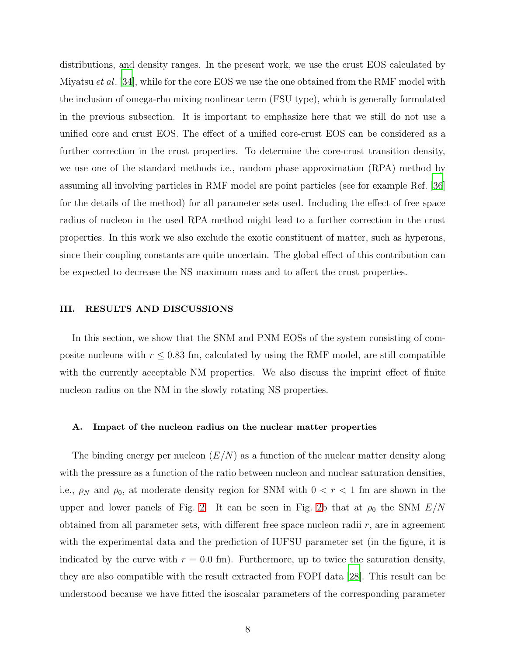distributions, and density ranges. In the present work, we use the crust EOS calculated by Miyatsu *et al.* [\[34\]](#page-13-14), while for the core EOS we use the one obtained from the RMF model with the inclusion of omega-rho mixing nonlinear term (FSU type), which is generally formulated in the previous subsection. It is important to emphasize here that we still do not use a unified core and crust EOS. The effect of a unified core-crust EOS can be considered as a further correction in the crust properties. To determine the core-crust transition density, we use one of the standard methods i.e., random phase approximation (RPA) method by assuming all involving particles in RMF model are point particles (see for example Ref. [\[36\]](#page-13-15) for the details of the method) for all parameter sets used. Including the effect of free space radius of nucleon in the used RPA method might lead to a further correction in the crust properties. In this work we also exclude the exotic constituent of matter, such as hyperons, since their coupling constants are quite uncertain. The global effect of this contribution can be expected to decrease the NS maximum mass and to affect the crust properties.

#### <span id="page-7-0"></span>III. RESULTS AND DISCUSSIONS

In this section, we show that the SNM and PNM EOSs of the system consisting of composite nucleons with  $r \leq 0.83$  fm, calculated by using the RMF model, are still compatible with the currently acceptable NM properties. We also discuss the imprint effect of finite nucleon radius on the NM in the slowly rotating NS properties.

## A. Impact of the nucleon radius on the nuclear matter properties

The binding energy per nucleon  $(E/N)$  as a function of the nuclear matter density along with the pressure as a function of the ratio between nucleon and nuclear saturation densities, i.e.,  $\rho_N$  and  $\rho_0$ , at moderate density region for SNM with  $0 < r < 1$  fm are shown in the upper and lower panels of Fig. [2.](#page-15-0) It can be seen in Fig. [2b](#page-15-0) that at  $\rho_0$  the SNM  $E/N$ obtained from all parameter sets, with different free space nucleon radii  $r$ , are in agreement with the experimental data and the prediction of IUFSU parameter set (in the figure, it is indicated by the curve with  $r = 0.0$  fm). Furthermore, up to twice the saturation density, they are also compatible with the result extracted from FOPI data [\[28\]](#page-13-16). This result can be understood because we have fitted the isoscalar parameters of the corresponding parameter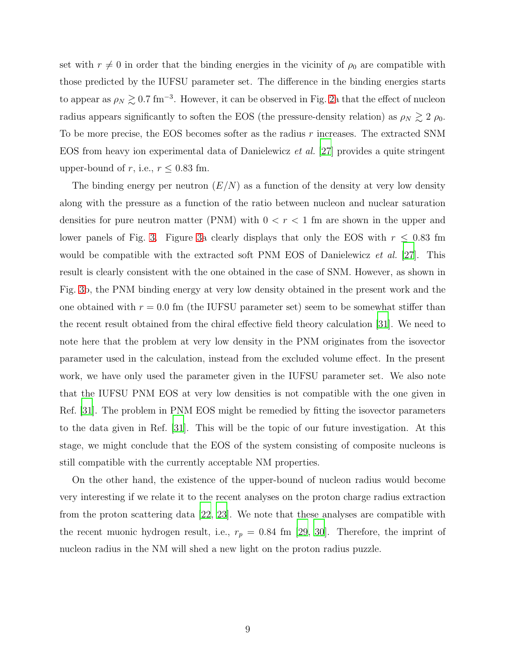set with  $r \neq 0$  in order that the binding energies in the vicinity of  $\rho_0$  are compatible with those predicted by the IUFSU parameter set. The difference in the binding energies starts to appear as  $\rho_N \gtrsim 0.7$  fm<sup>-3</sup>. However, it can be observed in Fig. [2a](#page-15-0) that the effect of nucleon radius appears significantly to soften the EOS (the pressure-density relation) as  $\rho_N \gtrsim 2 \rho_0$ . To be more precise, the EOS becomes softer as the radius  $r$  increases. The extracted SNM EOS from heavy ion experimental data of Danielewicz et al. [\[27\]](#page-13-17) provides a quite stringent upper-bound of r, i.e.,  $r \leq 0.83$  fm.

The binding energy per neutron  $(E/N)$  as a function of the density at very low density along with the pressure as a function of the ratio between nucleon and nuclear saturation densities for pure neutron matter (PNM) with  $0 < r < 1$  fm are shown in the upper and lower panels of Fig. [3.](#page-16-0) Figure [3a](#page-16-0) clearly displays that only the EOS with  $r \leq 0.83$  fm would be compatible with the extracted soft PNM EOS of Danielewicz *et al.* [\[27](#page-13-17)]. This result is clearly consistent with the one obtained in the case of SNM. However, as shown in Fig. [3b](#page-16-0), the PNM binding energy at very low density obtained in the present work and the one obtained with  $r = 0.0$  fm (the IUFSU parameter set) seem to be somewhat stiffer than the recent result obtained from the chiral effective field theory calculation [\[31\]](#page-13-18). We need to note here that the problem at very low density in the PNM originates from the isovector parameter used in the calculation, instead from the excluded volume effect. In the present work, we have only used the parameter given in the IUFSU parameter set. We also note that the IUFSU PNM EOS at very low densities is not compatible with the one given in Ref. [\[31](#page-13-18)]. The problem in PNM EOS might be remedied by fitting the isovector parameters to the data given in Ref. [\[31\]](#page-13-18). This will be the topic of our future investigation. At this stage, we might conclude that the EOS of the system consisting of composite nucleons is still compatible with the currently acceptable NM properties.

On the other hand, the existence of the upper-bound of nucleon radius would become very interesting if we relate it to the recent analyses on the proton charge radius extraction from the proton scattering data [\[22,](#page-13-7) [23\]](#page-13-8). We note that these analyses are compatible with the recent muonic hydrogen result, i.e.,  $r_p = 0.84$  fm [\[29](#page-13-19), [30\]](#page-13-20). Therefore, the imprint of nucleon radius in the NM will shed a new light on the proton radius puzzle.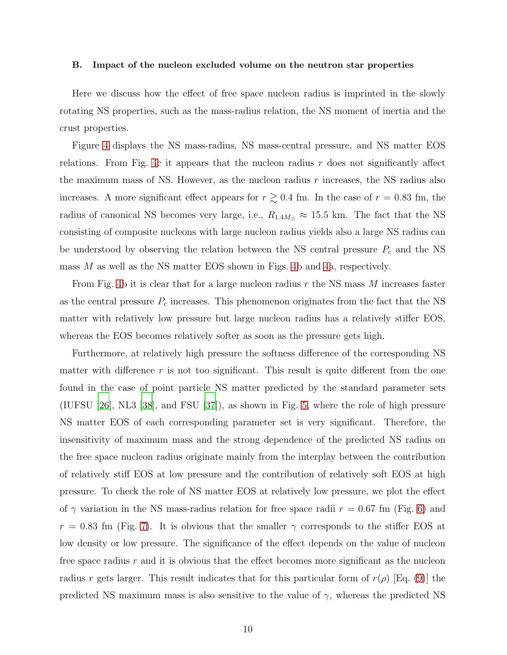#### B. Impact of the nucleon excluded volume on the neutron star properties

Here we discuss how the effect of free space nucleon radius is imprinted in the slowly rotating NS properties, such as the mass-radius relation, the NS moment of inertia and the crust properties.

Figure [4](#page-17-0) displays the NS mass-radius, NS mass-central pressure, and NS matter EOS relations. From Fig. [4c](#page-17-0) it appears that the nucleon radius  $r$  does not significantly affect the maximum mass of NS. However, as the nucleon radius r increases, the NS radius also increases. A more significant effect appears for  $r \gtrsim 0.4$  fm. In the case of  $r = 0.83$  fm, the radius of canonical NS becomes very large, i.e.,  $R_{1.4M_{\odot}} \approx 15.5$  km. The fact that the NS consisting of composite nucleons with large nucleon radius yields also a large NS radius can be understood by observing the relation between the NS central pressure  $P_c$  and the NS mass  $M$  as well as the NS matter EOS shown in Figs. [4b](#page-17-0) and [4a](#page-17-0), respectively.

From Fig. [4b](#page-17-0) it is clear that for a large nucleon radius  $r$  the NS mass  $M$  increases faster as the central pressure  $P_c$  increases. This phenomenon originates from the fact that the NS matter with relatively low pressure but large nucleon radius has a relatively stiffer EOS, whereas the EOS becomes relatively softer as soon as the pressure gets high.

Furthermore, at relatively high pressure the softness difference of the corresponding NS matter with difference  $r$  is not too significant. This result is quite different from the one found in the case of point particle NS matter predicted by the standard parameter sets (IUFSU [\[26\]](#page-13-1), NL3 [\[38\]](#page-13-21), and FSU [\[37](#page-13-22)]), as shown in Fig. [5,](#page-18-0) where the role of high pressure NS matter EOS of each corresponding parameter set is very significant. Therefore, the insensitivity of maximum mass and the strong dependence of the predicted NS radius on the free space nucleon radius originate mainly from the interplay between the contribution of relatively stiff EOS at low pressure and the contribution of relatively soft EOS at high pressure. To check the role of NS matter EOS at relatively low pressure, we plot the effect of  $\gamma$  variation in the NS mass-radius relation for free space radii  $r = 0.67$  fm (Fig. [6\)](#page-19-0) and  $r = 0.83$  fm (Fig. [7\)](#page-20-0). It is obvious that the smaller  $\gamma$  corresponds to the stiffer EOS at low density or low pressure. The significance of the effect depends on the value of nucleon free space radius r and it is obvious that the effect becomes more significant as the nucleon radius r gets larger. This result indicates that for this particular form of  $r(\rho)$  [Eq. [\(9\)](#page-5-1)] the predicted NS maximum mass is also sensitive to the value of  $\gamma$ , whereas the predicted NS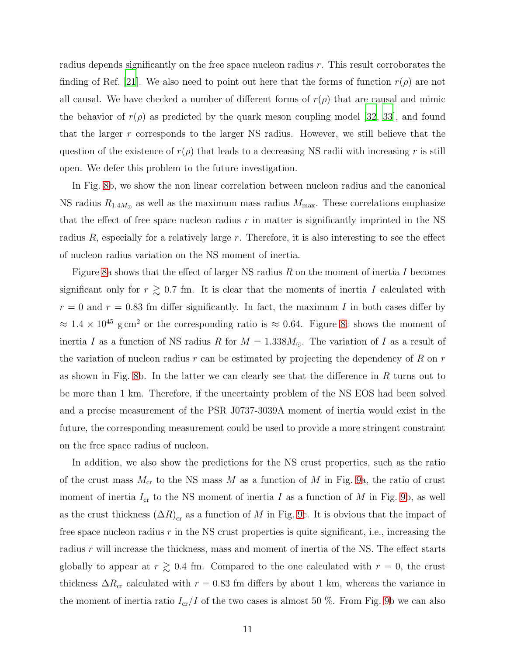radius depends significantly on the free space nucleon radius r. This result corroborates the finding of Ref. [\[21](#page-13-0)]. We also need to point out here that the forms of function  $r(\rho)$  are not all causal. We have checked a number of different forms of  $r(\rho)$  that are causal and mimic the behavior of  $r(\rho)$  as predicted by the quark meson coupling model [\[32,](#page-13-11) [33](#page-13-12)], and found that the larger r corresponds to the larger NS radius. However, we still believe that the question of the existence of  $r(\rho)$  that leads to a decreasing NS radii with increasing r is still open. We defer this problem to the future investigation.

In Fig. [8b](#page-21-0), we show the non linear correlation between nucleon radius and the canonical NS radius  $R_{1.4M_{\odot}}$  as well as the maximum mass radius  $M_{\text{max}}$ . These correlations emphasize that the effect of free space nucleon radius  $r$  in matter is significantly imprinted in the NS radius  $R$ , especially for a relatively large  $r$ . Therefore, it is also interesting to see the effect of nucleon radius variation on the NS moment of inertia.

Figure [8a](#page-21-0) shows that the effect of larger NS radius  $R$  on the moment of inertia I becomes significant only for  $r \geq 0.7$  fm. It is clear that the moments of inertia I calculated with  $r = 0$  and  $r = 0.83$  fm differ significantly. In fact, the maximum I in both cases differ by  $\approx 1.4 \times 10^{45}$  g cm<sup>2</sup> or the corresponding ratio is  $\approx 0.64$ . Figure [8c](#page-21-0) shows the moment of inertia I as a function of NS radius R for  $M = 1.338M_{\odot}$ . The variation of I as a result of the variation of nucleon radius  $r$  can be estimated by projecting the dependency of  $R$  on  $r$ as shown in Fig. [8b](#page-21-0). In the latter we can clearly see that the difference in  $R$  turns out to be more than 1 km. Therefore, if the uncertainty problem of the NS EOS had been solved and a precise measurement of the PSR J0737-3039A moment of inertia would exist in the future, the corresponding measurement could be used to provide a more stringent constraint on the free space radius of nucleon.

In addition, we also show the predictions for the NS crust properties, such as the ratio of the crust mass  $M_{cr}$  to the NS mass M as a function of M in Fig. [9a](#page-22-0), the ratio of crust moment of inertia  $I_{cr}$  to the NS moment of inertia I as a function of M in Fig. [9b](#page-22-0), as well as the crust thickness  $(\Delta R)_{\text{cr}}$  as a function of M in Fig. [9c](#page-22-0). It is obvious that the impact of free space nucleon radius  $r$  in the NS crust properties is quite significant, i.e., increasing the radius r will increase the thickness, mass and moment of inertia of the NS. The effect starts globally to appear at  $r \gtrsim 0.4$  fm. Compared to the one calculated with  $r = 0$ , the crust thickness  $\Delta R_{cr}$  calculated with  $r = 0.83$  fm differs by about 1 km, whereas the variance in the moment of inertia ratio  $I_{cr}/I$  of the two cases is almost 50 %. From Fig. [9b](#page-22-0) we can also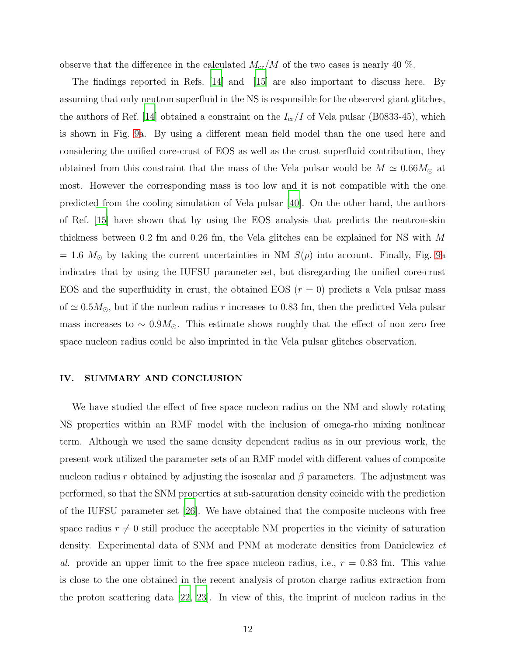observe that the difference in the calculated  $M_{cr}/M$  of the two cases is nearly 40 %.

The findings reported in Refs. [\[14](#page-12-6)] and [\[15\]](#page-12-7) are also important to discuss here. By assuming that only neutron superfluid in the NS is responsible for the observed giant glitches, the authors of Ref. [\[14\]](#page-12-6) obtained a constraint on the  $I_{cr}/I$  of Vela pulsar (B0833-45), which is shown in Fig. [9a](#page-22-0). By using a different mean field model than the one used here and considering the unified core-crust of EOS as well as the crust superfluid contribution, they obtained from this constraint that the mass of the Vela pulsar would be  $M \simeq 0.66 M_{\odot}$  at most. However the corresponding mass is too low and it is not compatible with the one predicted from the cooling simulation of Vela pulsar [\[40](#page-14-1)]. On the other hand, the authors of Ref. [\[15\]](#page-12-7) have shown that by using the EOS analysis that predicts the neutron-skin thickness between 0.2 fm and 0.26 fm, the Vela glitches can be explained for NS with M  $= 1.6$  M<sub>☉</sub> by taking the current uncertainties in NM  $S(\rho)$  into account. Finally, Fig. [9a](#page-22-0) indicates that by using the IUFSU parameter set, but disregarding the unified core-crust EOS and the superfluidity in crust, the obtained EOS  $(r = 0)$  predicts a Vela pulsar mass of  $\simeq 0.5 M_{\odot}$ , but if the nucleon radius r increases to 0.83 fm, then the predicted Vela pulsar mass increases to  $\sim 0.9M_{\odot}$ . This estimate shows roughly that the effect of non zero free space nucleon radius could be also imprinted in the Vela pulsar glitches observation.

## <span id="page-11-0"></span>IV. SUMMARY AND CONCLUSION

We have studied the effect of free space nucleon radius on the NM and slowly rotating NS properties within an RMF model with the inclusion of omega-rho mixing nonlinear term. Although we used the same density dependent radius as in our previous work, the present work utilized the parameter sets of an RMF model with different values of composite nucleon radius r obtained by adjusting the isoscalar and  $\beta$  parameters. The adjustment was performed, so that the SNM properties at sub-saturation density coincide with the prediction of the IUFSU parameter set [\[26\]](#page-13-1). We have obtained that the composite nucleons with free space radius  $r \neq 0$  still produce the acceptable NM properties in the vicinity of saturation density. Experimental data of SNM and PNM at moderate densities from Danielewicz et al. provide an upper limit to the free space nucleon radius, i.e.,  $r = 0.83$  fm. This value is close to the one obtained in the recent analysis of proton charge radius extraction from the proton scattering data [\[22,](#page-13-7) [23](#page-13-8)]. In view of this, the imprint of nucleon radius in the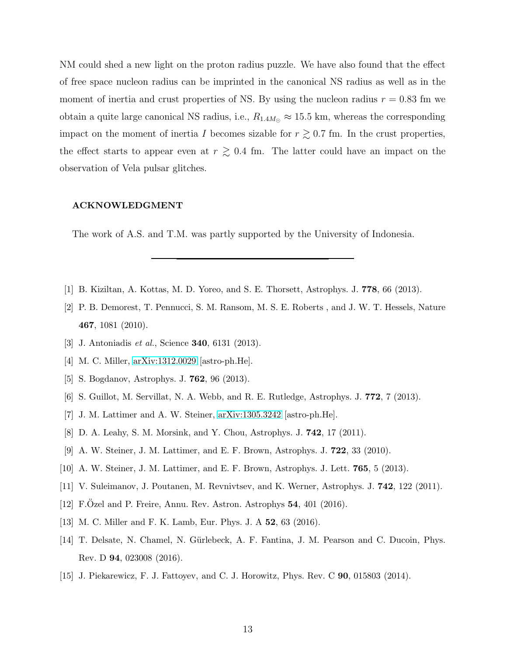NM could shed a new light on the proton radius puzzle. We have also found that the effect of free space nucleon radius can be imprinted in the canonical NS radius as well as in the moment of inertia and crust properties of NS. By using the nucleon radius  $r = 0.83$  fm we obtain a quite large canonical NS radius, i.e.,  $R_{1.4M_{\odot}} \approx 15.5$  km, whereas the corresponding impact on the moment of inertia I becomes sizable for  $r \gtrsim 0.7$  fm. In the crust properties, the effect starts to appear even at  $r \gtrsim 0.4$  fm. The latter could have an impact on the observation of Vela pulsar glitches.

#### ACKNOWLEDGMENT

The work of A.S. and T.M. was partly supported by the University of Indonesia.

- <span id="page-12-0"></span>[1] B. Kiziltan, A. Kottas, M. D. Yoreo, and S. E. Thorsett, Astrophys. J. 778, 66 (2013).
- <span id="page-12-1"></span>[2] P. B. Demorest, T. Pennucci, S. M. Ransom, M. S. E. Roberts , and J. W. T. Hessels, Nature 467, 1081 (2010).
- <span id="page-12-2"></span>[3] J. Antoniadis *et al.*, Science **340**, 6131 (2013).
- <span id="page-12-3"></span>[4] M. C. Miller, [arXiv:1312.0029](http://arxiv.org/abs/1312.0029) [astro-ph.He].
- [5] S. Bogdanov, Astrophys. J. 762, 96 (2013).
- [6] S. Guillot, M. Servillat, N. A. Webb, and R. E. Rutledge, Astrophys. J. 772, 7 (2013).
- [7] J. M. Lattimer and A. W. Steiner, [arXiv:1305.3242](http://arxiv.org/abs/1305.3242) [astro-ph.He].
- [8] D. A. Leahy, S. M. Morsink, and Y. Chou, Astrophys. J. 742, 17 (2011).
- [9] A. W. Steiner, J. M. Lattimer, and E. F. Brown, Astrophys. J. 722, 33 (2010).
- [10] A. W. Steiner, J. M. Lattimer, and E. F. Brown, Astrophys. J. Lett. 765, 5 (2013).
- [11] V. Suleimanov, J. Poutanen, M. Revnivtsev, and K. Werner, Astrophys. J. 742, 122 (2011).
- <span id="page-12-4"></span>[12] F.Ozel and P. Freire, Annu. Rev. Astron. Astrophys  $54$ ,  $401$  (2016).
- <span id="page-12-5"></span>[13] M. C. Miller and F. K. Lamb, Eur. Phys. J. A **52**, 63 (2016).
- <span id="page-12-6"></span>[14] T. Delsate, N. Chamel, N. Gürlebeck, A. F. Fantina, J. M. Pearson and C. Ducoin, Phys. Rev. D 94, 023008 (2016).
- <span id="page-12-7"></span>[15] J. Piekarewicz, F. J. Fattoyev, and C. J. Horowitz, Phys. Rev. C 90, 015803 (2014).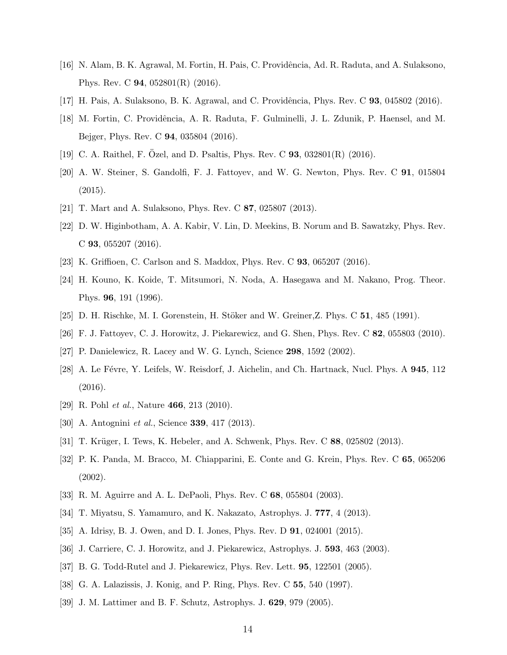- <span id="page-13-2"></span>[16] N. Alam, B. K. Agrawal, M. Fortin, H. Pais, C. Providência, Ad. R. Raduta, and A. Sulaksono, Phys. Rev. C 94, 052801(R) (2016).
- <span id="page-13-4"></span><span id="page-13-3"></span>[17] H. Pais, A. Sulaksono, B. K. Agrawal, and C. Providência, Phys. Rev. C 93, 045802 (2016).
- [18] M. Fortin, C. Providência, A. R. Raduta, F. Gulminelli, J. L. Zdunik, P. Haensel, and M. Bejger, Phys. Rev. C 94, 035804 (2016).
- <span id="page-13-6"></span><span id="page-13-5"></span>[19] C. A. Raithel, F. Ozel, and D. Psaltis, Phys. Rev. C  $93, 032801(R)$  (2016).
- [20] A. W. Steiner, S. Gandolfi, F. J. Fattoyev, and W. G. Newton, Phys. Rev. C 91, 015804 (2015).
- <span id="page-13-7"></span><span id="page-13-0"></span>[21] T. Mart and A. Sulaksono, Phys. Rev. C 87, 025807 (2013).
- [22] D. W. Higinbotham, A. A. Kabir, V. Lin, D. Meekins, B. Norum and B. Sawatzky, Phys. Rev. C 93, 055207 (2016).
- <span id="page-13-9"></span><span id="page-13-8"></span>[23] K. Griffioen, C. Carlson and S. Maddox, Phys. Rev. C 93, 065207 (2016).
- [24] H. Kouno, K. Koide, T. Mitsumori, N. Noda, A. Hasegawa and M. Nakano, Prog. Theor. Phys. 96, 191 (1996).
- <span id="page-13-10"></span><span id="page-13-1"></span>[25] D. H. Rischke, M. I. Gorenstein, H. Stöker and W. Greiner, Z. Phys. C  $51$ , 485 (1991).
- <span id="page-13-17"></span>[26] F. J. Fattoyev, C. J. Horowitz, J. Piekarewicz, and G. Shen, Phys. Rev. C 82, 055803 (2010).
- [27] P. Danielewicz, R. Lacey and W. G. Lynch, Science 298, 1592 (2002).
- <span id="page-13-16"></span>[28] A. Le Févre, Y. Leifels, W. Reisdorf, J. Aichelin, and Ch. Hartnack, Nucl. Phys. A 945, 112 (2016).
- <span id="page-13-19"></span>[29] R. Pohl *et al.*, Nature **466**, 213 (2010).
- <span id="page-13-20"></span>[30] A. Antognini *et al.*, Science **339**, 417 (2013).
- <span id="page-13-18"></span>[31] T. Krüger, I. Tews, K. Hebeler, and A. Schwenk, Phys. Rev. C 88, 025802 (2013).
- <span id="page-13-11"></span>[32] P. K. Panda, M. Bracco, M. Chiapparini, E. Conte and G. Krein, Phys. Rev. C 65, 065206 (2002).
- <span id="page-13-12"></span>[33] R. M. Aguirre and A. L. DePaoli, Phys. Rev. C 68, 055804 (2003).
- <span id="page-13-14"></span>[34] T. Miyatsu, S. Yamamuro, and K. Nakazato, Astrophys. J. 777, 4 (2013).
- <span id="page-13-13"></span>[35] A. Idrisy, B. J. Owen, and D. I. Jones, Phys. Rev. D 91, 024001 (2015).
- <span id="page-13-15"></span>[36] J. Carriere, C. J. Horowitz, and J. Piekarewicz, Astrophys. J. **593**, 463 (2003).
- <span id="page-13-22"></span>[37] B. G. Todd-Rutel and J. Piekarewicz, Phys. Rev. Lett. 95, 122501 (2005).
- <span id="page-13-21"></span>[38] G. A. Lalazissis, J. Konig, and P. Ring, Phys. Rev. C 55, 540 (1997).
- <span id="page-13-23"></span>[39] J. M. Lattimer and B. F. Schutz, Astrophys. J. 629, 979 (2005).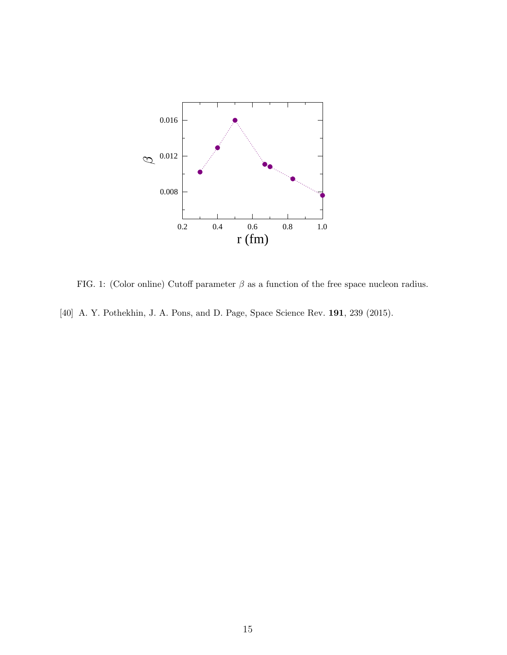

<span id="page-14-1"></span><span id="page-14-0"></span>FIG. 1: (Color online) Cutoff parameter  $\beta$  as a function of the free space nucleon radius. [40] A. Y. Pothekhin, J. A. Pons, and D. Page, Space Science Rev. **191**, 239 (2015).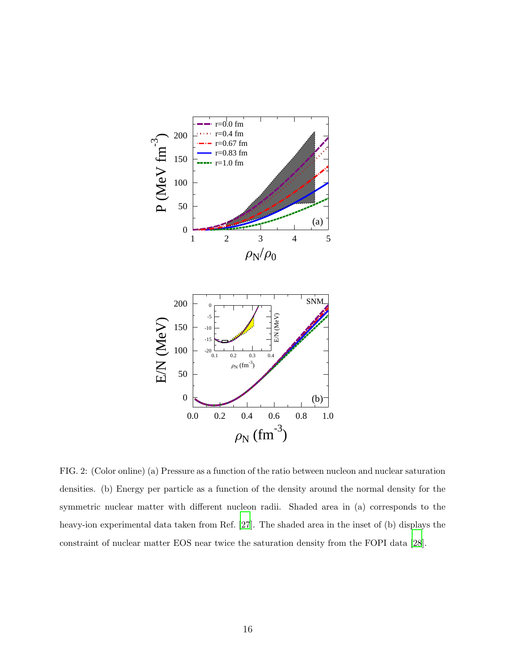

<span id="page-15-0"></span>FIG. 2: (Color online) (a) Pressure as a function of the ratio between nucleon and nuclear saturation densities. (b) Energy per particle as a function of the density around the normal density for the symmetric nuclear matter with different nucleon radii. Shaded area in (a) corresponds to the heavy-ion experimental data taken from Ref. [\[27](#page-13-17)]. The shaded area in the inset of (b) displays the constraint of nuclear matter EOS near twice the saturation density from the FOPI data [\[28\]](#page-13-16).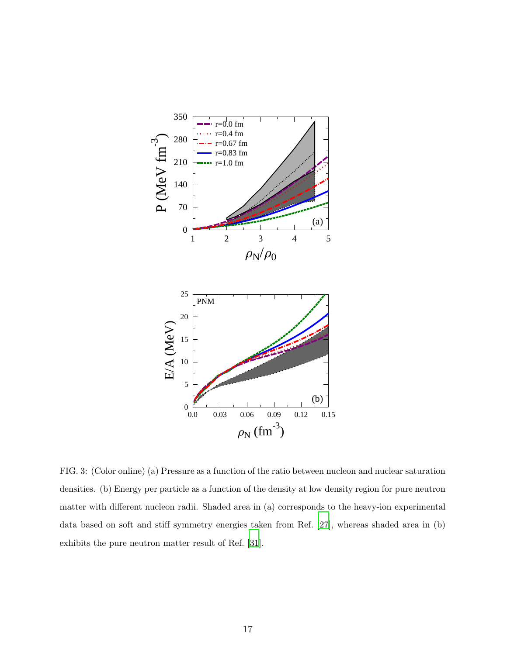

<span id="page-16-0"></span>FIG. 3: (Color online) (a) Pressure as a function of the ratio between nucleon and nuclear saturation densities. (b) Energy per particle as a function of the density at low density region for pure neutron matter with different nucleon radii. Shaded area in (a) corresponds to the heavy-ion experimental data based on soft and stiff symmetry energies taken from Ref. [\[27\]](#page-13-17), whereas shaded area in (b) exhibits the pure neutron matter result of Ref. [\[31\]](#page-13-18).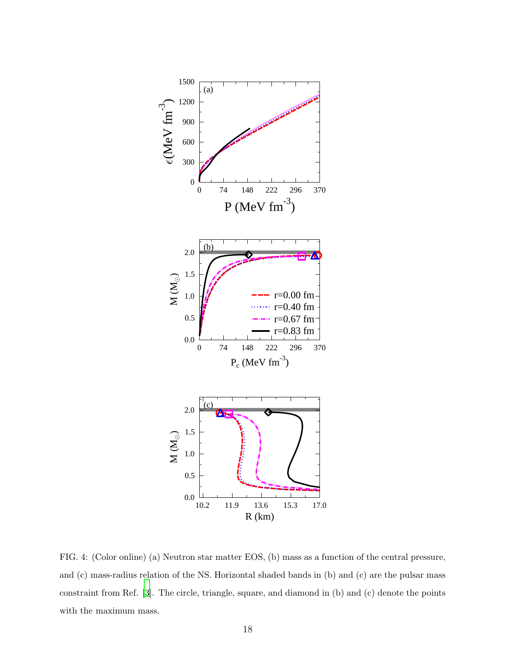

<span id="page-17-0"></span>FIG. 4: (Color online) (a) Neutron star matter EOS, (b) mass as a function of the central pressure, and (c) mass-radius relation of the NS. Horizontal shaded bands in (b) and (c) are the pulsar mass constraint from Ref. [\[3](#page-12-2)]. The circle, triangle, square, and diamond in (b) and (c) denote the points with the maximum mass.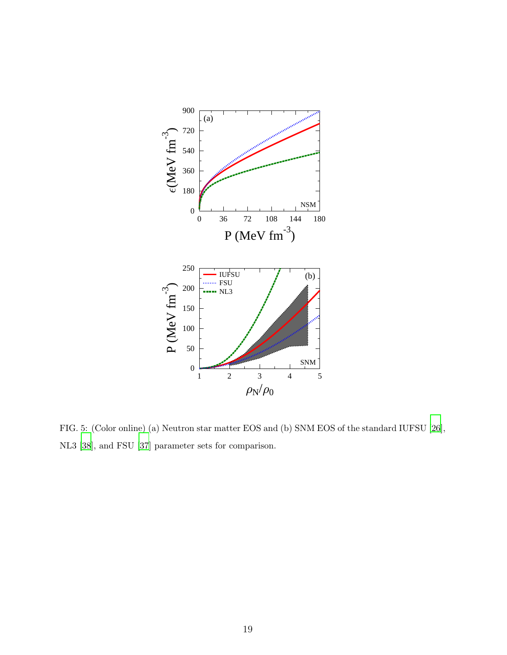

<span id="page-18-0"></span>FIG. 5: (Color online) (a) Neutron star matter EOS and (b) SNM EOS of the standard IUFSU [\[26](#page-13-1)], NL3 [\[38](#page-13-21)], and FSU [\[37\]](#page-13-22) parameter sets for comparison.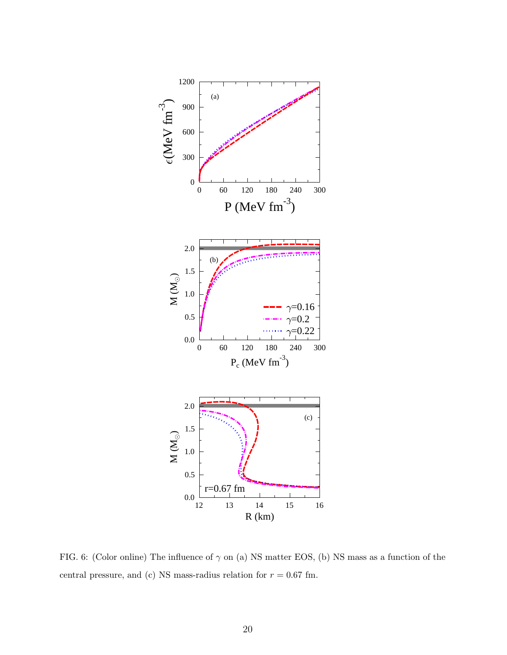

<span id="page-19-0"></span>FIG. 6: (Color online) The influence of  $\gamma$  on (a) NS matter EOS, (b) NS mass as a function of the central pressure, and (c) NS mass-radius relation for  $r = 0.67$  fm.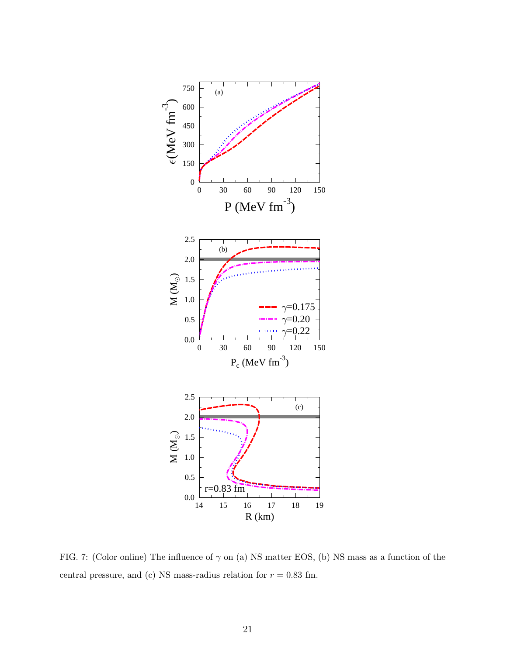

<span id="page-20-0"></span>FIG. 7: (Color online) The influence of  $\gamma$  on (a) NS matter EOS, (b) NS mass as a function of the central pressure, and (c) NS mass-radius relation for  $r = 0.83$  fm.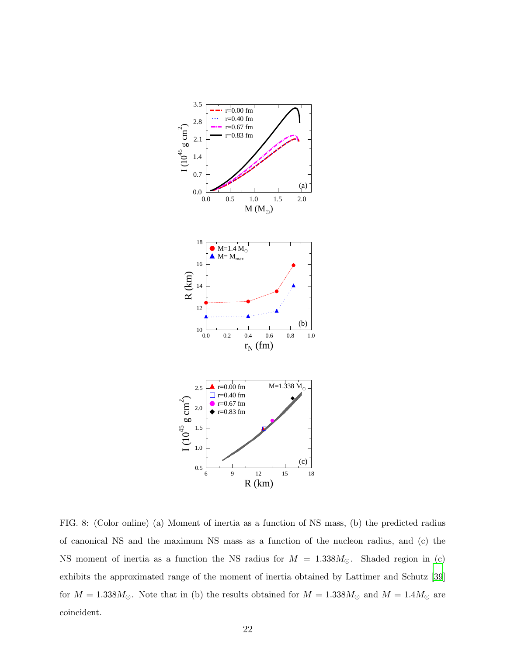

<span id="page-21-0"></span>FIG. 8: (Color online) (a) Moment of inertia as a function of NS mass, (b) the predicted radius of canonical NS and the maximum NS mass as a function of the nucleon radius, and (c) the NS moment of inertia as a function the NS radius for  $M = 1.338M_{\odot}$ . Shaded region in (c) exhibits the approximated range of the moment of inertia obtained by Lattimer and Schutz [\[39](#page-13-23)] for  $M = 1.338M_{\odot}$ . Note that in (b) the results obtained for  $M = 1.338M_{\odot}$  and  $M = 1.4M_{\odot}$  are coincident.